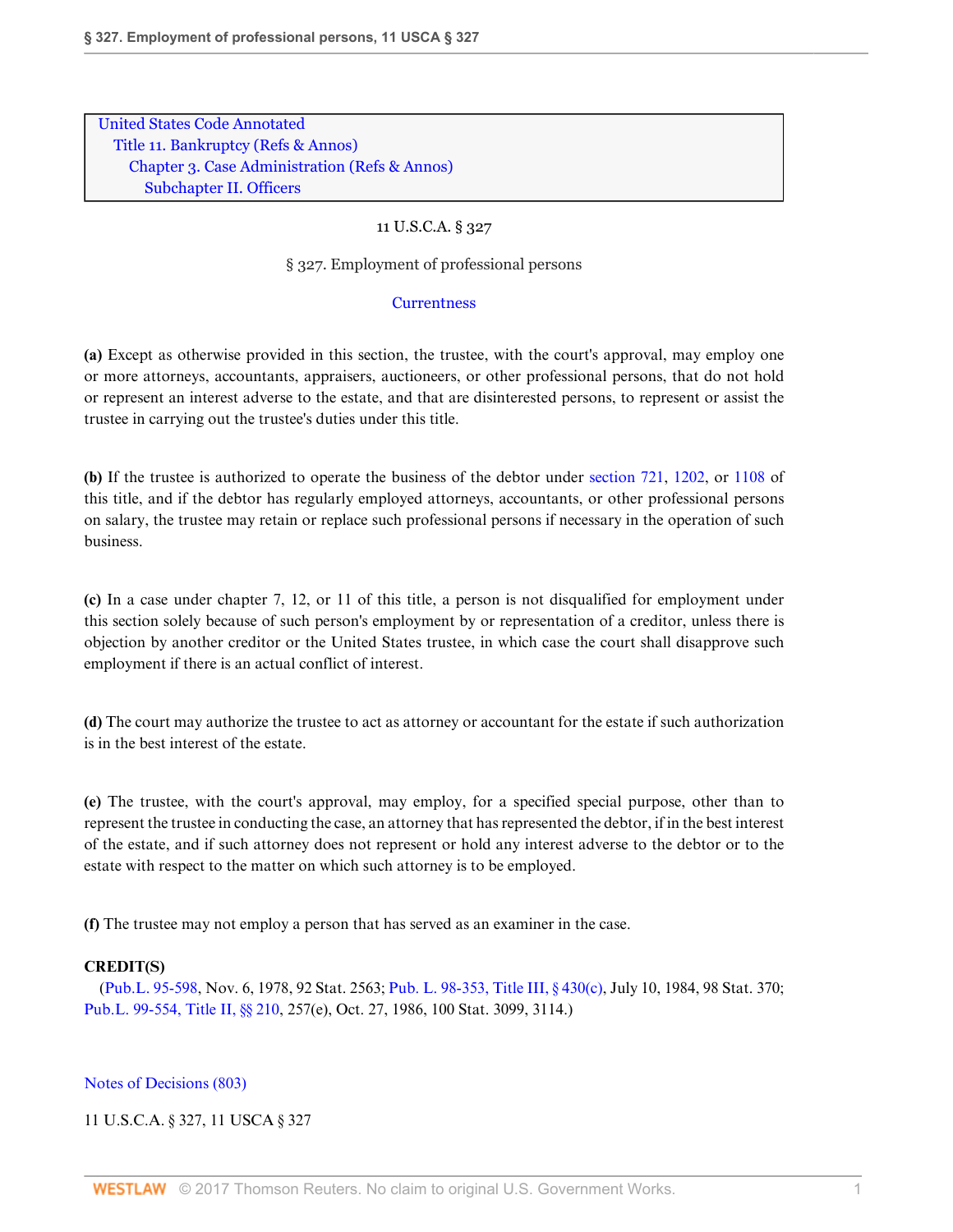[United States Code Annotated](http://www.westlaw.com/Browse/Home/StatutesCourtRules/UnitedStatesCodeAnnotatedUSCA?transitionType=DocumentItem&contextData=(sc.Search)&rs=clbt1.0&vr=3.0) [Title 11. Bankruptcy](http://www.westlaw.com/Browse/Home/StatutesCourtRules/UnitedStatesCodeAnnotatedUSCA?guid=N816FE66124424475A52637192E3974D7&transitionType=DocumentItem&contextData=(sc.Search)&rs=clbt1.0&vr=3.0) [\(Refs & Annos\)](http://www.westlaw.com/Link/Document/FullText?findType=l&cite=lk(11USCAD)+lk(11USCAR)&originatingDoc=N383FA380A06711D8A63DAA9EBCE8FE5A&refType=CM&sourceCite=11+U.S.C.A.+%c2%a7+327&originationContext=document&vr=3.0&rs=cblt1.0&transitionType=DocumentItem&pubNum=1000546&contextData=(sc.Search)) [Chapter 3. Case Administration](http://www.westlaw.com/Browse/Home/StatutesCourtRules/UnitedStatesCodeAnnotatedUSCA?guid=N84E7EA21E6DB47E2AC43DBBCCDC417BD&transitionType=DocumentItem&contextData=(sc.Search)&rs=clbt1.0&vr=3.0) [\(Refs & Annos\)](http://www.westlaw.com/Link/Document/FullText?findType=l&cite=lk(11USCA3R)&originatingDoc=N383FA380A06711D8A63DAA9EBCE8FE5A&refType=CM&sourceCite=11+U.S.C.A.+%c2%a7+327&originationContext=document&vr=3.0&rs=cblt1.0&transitionType=DocumentItem&pubNum=1000546&contextData=(sc.Search)) [Subchapter II. Officers](http://www.westlaw.com/Browse/Home/StatutesCourtRules/UnitedStatesCodeAnnotatedUSCA?guid=NF81C5D802CF64EC18F66E787F50060F5&transitionType=DocumentItem&contextData=(sc.Search)&rs=clbt1.0&vr=3.0)

# 11 U.S.C.A. § 327

§ 327. Employment of professional persons

### **[Currentness](#page-0-0)**

**(a)** Except as otherwise provided in this section, the trustee, with the court's approval, may employ one or more attorneys, accountants, appraisers, auctioneers, or other professional persons, that do not hold or represent an interest adverse to the estate, and that are disinterested persons, to represent or assist the trustee in carrying out the trustee's duties under this title.

**(b)** If the trustee is authorized to operate the business of the debtor under [section 721,](http://www.westlaw.com/Link/Document/FullText?findType=L&pubNum=1000546&cite=11USCAS721&originatingDoc=N383FA380A06711D8A63DAA9EBCE8FE5A&refType=LQ&originationContext=document&vr=3.0&rs=cblt1.0&transitionType=DocumentItem&contextData=(sc.Search)) [1202,](http://www.westlaw.com/Link/Document/FullText?findType=L&pubNum=1000546&cite=11USCAS1202&originatingDoc=N383FA380A06711D8A63DAA9EBCE8FE5A&refType=LQ&originationContext=document&vr=3.0&rs=cblt1.0&transitionType=DocumentItem&contextData=(sc.Search)) or [1108](http://www.westlaw.com/Link/Document/FullText?findType=L&pubNum=1000546&cite=11USCAS1108&originatingDoc=N383FA380A06711D8A63DAA9EBCE8FE5A&refType=LQ&originationContext=document&vr=3.0&rs=cblt1.0&transitionType=DocumentItem&contextData=(sc.Search)) of this title, and if the debtor has regularly employed attorneys, accountants, or other professional persons on salary, the trustee may retain or replace such professional persons if necessary in the operation of such business.

**(c)** In a case under chapter 7, 12, or 11 of this title, a person is not disqualified for employment under this section solely because of such person's employment by or representation of a creditor, unless there is objection by another creditor or the United States trustee, in which case the court shall disapprove such employment if there is an actual conflict of interest.

**(d)** The court may authorize the trustee to act as attorney or accountant for the estate if such authorization is in the best interest of the estate.

**(e)** The trustee, with the court's approval, may employ, for a specified special purpose, other than to represent the trustee in conducting the case, an attorney that has represented the debtor, if in the best interest of the estate, and if such attorney does not represent or hold any interest adverse to the debtor or to the estate with respect to the matter on which such attorney is to be employed.

**(f)** The trustee may not employ a person that has served as an examiner in the case.

## **CREDIT(S)**

[\(Pub.L. 95-598](http://www.westlaw.com/Link/Document/FullText?findType=l&pubNum=1077005&cite=UUID(I71DDF349F4-37451FB502A-F9883A97ED5)&originatingDoc=N383FA380A06711D8A63DAA9EBCE8FE5A&refType=SL&originationContext=document&vr=3.0&rs=cblt1.0&transitionType=DocumentItem&contextData=(sc.Search)), Nov. 6, 1978, 92 Stat. 2563; [Pub. L. 98-353, Title III, § 430\(c\)](http://www.westlaw.com/Link/Document/FullText?findType=l&pubNum=1077005&cite=UUID(IA9801FB1A7-67478288BED-F9A14070653)&originatingDoc=N383FA380A06711D8A63DAA9EBCE8FE5A&refType=SL&originationContext=document&vr=3.0&rs=cblt1.0&transitionType=DocumentItem&contextData=(sc.Search)), July 10, 1984, 98 Stat. 370; [Pub.L. 99-554, Title II, §§ 210,](http://www.westlaw.com/Link/Document/FullText?findType=l&pubNum=1077005&cite=UUID(I376E235D4A-5D4D01BD074-C4FF2E0E194)&originatingDoc=N383FA380A06711D8A63DAA9EBCE8FE5A&refType=SL&originationContext=document&vr=3.0&rs=cblt1.0&transitionType=DocumentItem&contextData=(sc.Search)) 257(e), Oct. 27, 1986, 100 Stat. 3099, 3114.)

#### [Notes of Decisions \(803\)](http://www.westlaw.com/Link/RelatedInformation/NotesofDecisions?docGuid=N383FA380A06711D8A63DAA9EBCE8FE5A&originationContext=document&vr=3.0&rs=cblt1.0&transitionType=NotesOfDecision&contextData=(sc.Search))

<span id="page-0-0"></span>11 U.S.C.A. § 327, 11 USCA § 327